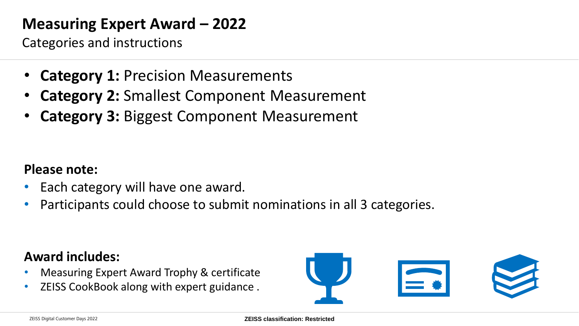# **Measuring Expert Award – 2022**

Categories and instructions

- **Category 1: Precision Measurements**
- **Category 2:** Smallest Component Measurement
- **Category 3:** Biggest Component Measurement

#### **Please note:**

- Each category will have one award.
- Participants could choose to submit nominations in all 3 categories.

#### **Award includes:**

- Measuring Expert Award Trophy & certificate
- ZEISS CookBook along with expert guidance .

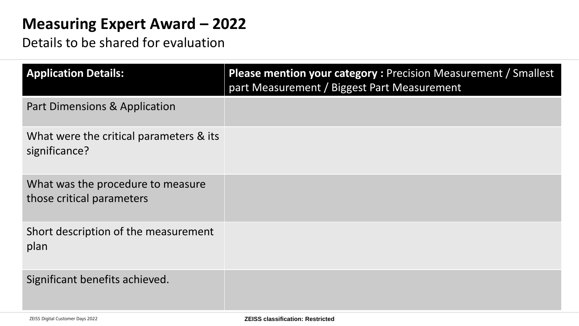# **Measuring Expert Award - 2022**

Details to be shared for evaluation

| <b>Application Details:</b>                                    | Please mention your category : Precision Measurement / Smallest<br>part Measurement / Biggest Part Measurement |
|----------------------------------------------------------------|----------------------------------------------------------------------------------------------------------------|
| <b>Part Dimensions &amp; Application</b>                       |                                                                                                                |
| What were the critical parameters & its<br>significance?       |                                                                                                                |
| What was the procedure to measure<br>those critical parameters |                                                                                                                |
| Short description of the measurement<br>plan                   |                                                                                                                |
| Significant benefits achieved.                                 |                                                                                                                |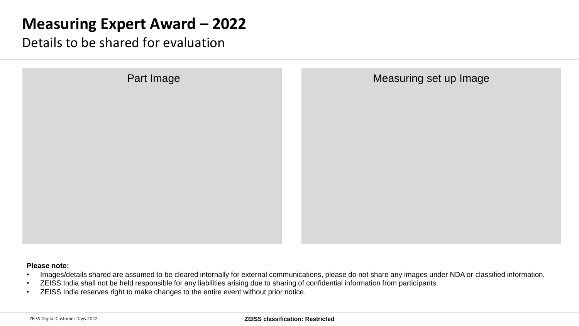# **Measuring Expert Award – 2022**

Details to be shared for evaluation

| Part Image | Measuring set up Image |
|------------|------------------------|
|            |                        |
|            |                        |
|            |                        |
|            |                        |
|            |                        |

#### **Please note:**

- Images/details shared are assumed to be cleared internally for external communications, please do not share any images under NDA or classified information.
- ZEISS India shall not be held responsible for any liabilities arising due to sharing of confidential information from participants.
- ZEISS India reserves right to make changes to the entire event without prior notice.